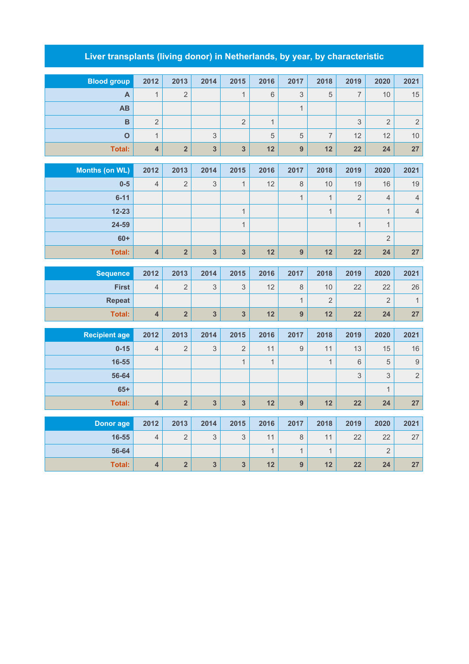## **Liver transplants (living donor) in Netherlands, by year, by characteristic**

| <b>Blood group</b> | 2012           | 2013          | 2014           | 2015           | 2016 | 2017 | 2018                     | 2019                     | 2020 | 2021            |
|--------------------|----------------|---------------|----------------|----------------|------|------|--------------------------|--------------------------|------|-----------------|
| A                  |                | $\Omega$<br>∠ |                |                | 6    | 3    | 5                        | $\overline{\phantom{0}}$ | 10   | 15              |
| AB                 |                |               |                |                |      |      |                          |                          |      |                 |
| B                  | $\overline{2}$ |               |                | $\overline{2}$ |      |      |                          | 3                        | 2    | 2               |
| $\mathbf O$        |                |               | 3              |                | 5    | 5    | $\overline{\phantom{0}}$ | 12                       | 12   | 10 <sup>°</sup> |
| Total:             | 4              | $\Omega$      | $\overline{3}$ | 3              | 12   | 9    | 12                       | 22                       | 24   | 27              |

| Months (on WL) | 2012           | 2013           | 2014 | 2015           | 2016 | 2017 | 2018 | 2019           | 2020           | 2021 |
|----------------|----------------|----------------|------|----------------|------|------|------|----------------|----------------|------|
| $0 - 5$        | $\overline{4}$ | 2              | 3    | $\overline{A}$ | 12   | 8    | 10   | 19             | 16             | 19   |
| $6 - 11$       |                |                |      |                |      |      |      | $\overline{2}$ | 4              | 4    |
| $12 - 23$      |                |                |      |                |      |      |      |                |                | 4    |
| 24-59          |                |                |      |                |      |      |      |                |                |      |
| $60+$          |                |                |      |                |      |      |      |                | $\overline{2}$ |      |
| Total:         | 4              | $\overline{2}$ | 3    | 3              | 12   | 9    | 12   | 22             | 24             | 27   |

| <b>Sequence</b> | 2012 | 2013 | 2014          | 2015         | 2016 | 2017 | 2018 | 2019 | 2020 | 2021 |
|-----------------|------|------|---------------|--------------|------|------|------|------|------|------|
| <b>First</b>    | 4    |      | $\Omega$<br>ັ | $\circ$<br>ັ | 12   |      | 10   | 22   | 22   | 26   |
| <b>Repeat</b>   |      |      |               |              |      |      | ∼    |      |      |      |
| Total:          |      |      | ≏             | $\bullet$    | 12   |      | 12   | 22   | 24   | 27   |

| <b>Recipient age</b> | 2012           | 2013           | 2014 | 2015           | 2016           | 2017                     | 2018 | 2019 | 2020           | 2021           |
|----------------------|----------------|----------------|------|----------------|----------------|--------------------------|------|------|----------------|----------------|
| $0 - 15$             | $\overline{4}$ | $\overline{2}$ | 3    | $\overline{2}$ | 11             | 9                        | 11   | 13   | 15             | 16             |
| $16 - 55$            |                |                |      | $\mathbf 1$    | $\overline{ }$ |                          | 1    | 6    | 5              | 9              |
| 56-64                |                |                |      |                |                |                          |      | 3    | 3              | $\overline{2}$ |
| $65+$                |                |                |      |                |                |                          |      |      | $\overline{1}$ |                |
| Total:               | $\overline{4}$ | $\overline{2}$ | 3    | 3              | 12             | 9                        | 12   | 22   | 24             | 27             |
|                      |                |                |      |                |                |                          |      |      |                |                |
| Donor age            | 2012           | 2013           | 2014 | 2015           | 2016           | 2017                     | 2018 | 2019 | 2020           | 2021           |
| $16 - 55$            | $\overline{4}$ | $\overline{2}$ | 3    | 3              | 11             | 8                        | 11   | 22   | 22             | 27             |
| 56-64                |                |                |      |                |                | $\overline{\mathcal{A}}$ | 1    |      | $\overline{2}$ |                |

**Total: 4 2 3 3 12 9 12 22 24 27**